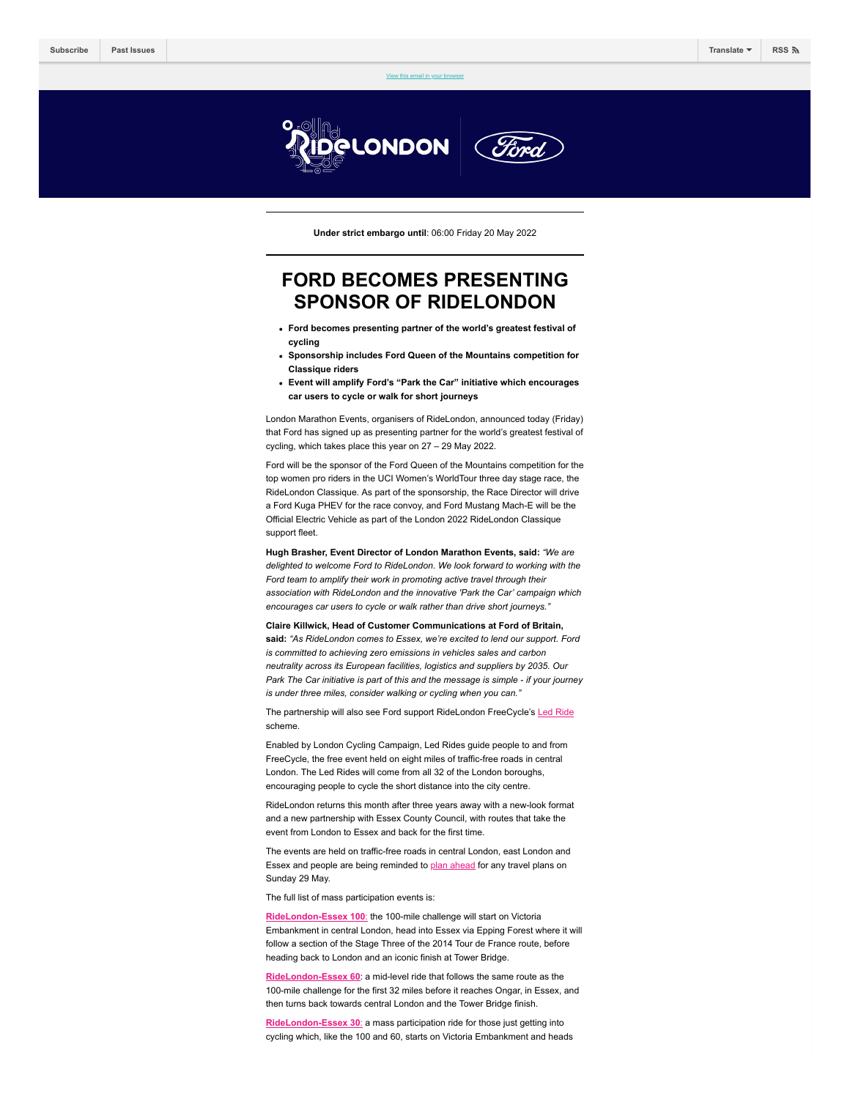[View this email in your browser](https://mailchi.mp/londonmarathonevents/full-routes-revealed-for-inaugural-three-day-ridelondon-classique-5842849?e=[UNIQID])

GLONDON

**Under strict embargo until**: 06:00 Friday 20 May 2022

# **FORD BECOMES PRESENTING SPONSOR OF RIDELONDON**

- **Ford becomes presenting partner of the world's greatest festival of cycling**
- **Sponsorship includes Ford Queen of the Mountains competition for Classique riders**
- **Event will amplify Ford's "Park the Car" initiative which encourages car users to cycle or walk for short journeys**

London Marathon Events, organisers of RideLondon, announced today (Friday) that Ford has signed up as presenting partner for the world's greatest festival of cycling, which takes place this year on 27 – 29 May 2022.

Ford will be the sponsor of the Ford Queen of the Mountains competition for the top women pro riders in the UCI Women's WorldTour three day stage race, the RideLondon Classique. As part of the sponsorship, the Race Director will drive a Ford Kuga PHEV for the race convoy, and Ford Mustang Mach-E will be the Official Electric Vehicle as part of the London 2022 RideLondon Classique support fleet.

**Hugh Brasher, Event Director of London Marathon Events, said:** *"We are delighted to welcome Ford to RideLondon. We look forward to working with the Ford team to amplify their work in promoting active travel through their association with RideLondon and the innovative 'Park the Car' campaign which encourages car users to cycle or walk rather than drive short journeys."*

**Claire Killwick, Head of Customer Communications at Ford of Britain, said:** *"As RideLondon comes to Essex, we're excited to lend our support. Ford is committed to achieving zero emissions in vehicles sales and carbon neutrality across its European facilities, logistics and suppliers by 2035. Our Park The Car initiative is part of this and the message is simple - if your journey is under three miles, consider walking or cycling when you can."*

The partnership will also see Ford support RideLondon FreeCycle's [Led Ride](https://www.ridelondon.co.uk/our-rides/freecycle-led-rides) scheme.

Enabled by London Cycling Campaign, Led Rides guide people to and from FreeCycle, the free event held on eight miles of traffic-free roads in central London. The Led Rides will come from all 32 of the London boroughs, encouraging people to cycle the short distance into the city centre.

RideLondon returns this month after three years away with a new-look format and a new partnership with Essex County Council, with routes that take the event from London to Essex and back for the first time.

The events are held on traffic-free roads in central London, east London and Essex and people are being reminded to [plan ahead](https://www.ridelondon.co.uk/road-closures/routes-and-road-closures) for any travel plans on Sunday 29 May.

The full list of mass participation events is:

**[RideLondon-Essex 100](https://www.ridelondon.co.uk/our-rides/ridelondon-essex-100)**: the 100-mile challenge will start on Victoria Embankment in central London, head into Essex via Epping Forest where it will follow a section of the Stage Three of the 2014 Tour de France route, before heading back to London and an iconic finish at Tower Bridge.

**[RideLondon-Essex 60](https://www.ridelondon.co.uk/our-rides/ridelondon-essex-60)**: a mid-level ride that follows the same route as the 100-mile challenge for the first 32 miles before it reaches Ongar, in Essex, and then turns back towards central London and the Tower Bridge finish.

**[RideLondon-Essex 30](https://www.ridelondon.co.uk/our-rides/ridelondon-essex-30)**: a mass participation ride for those just getting into cycling which, like the 100 and 60, starts on Victoria Embankment and heads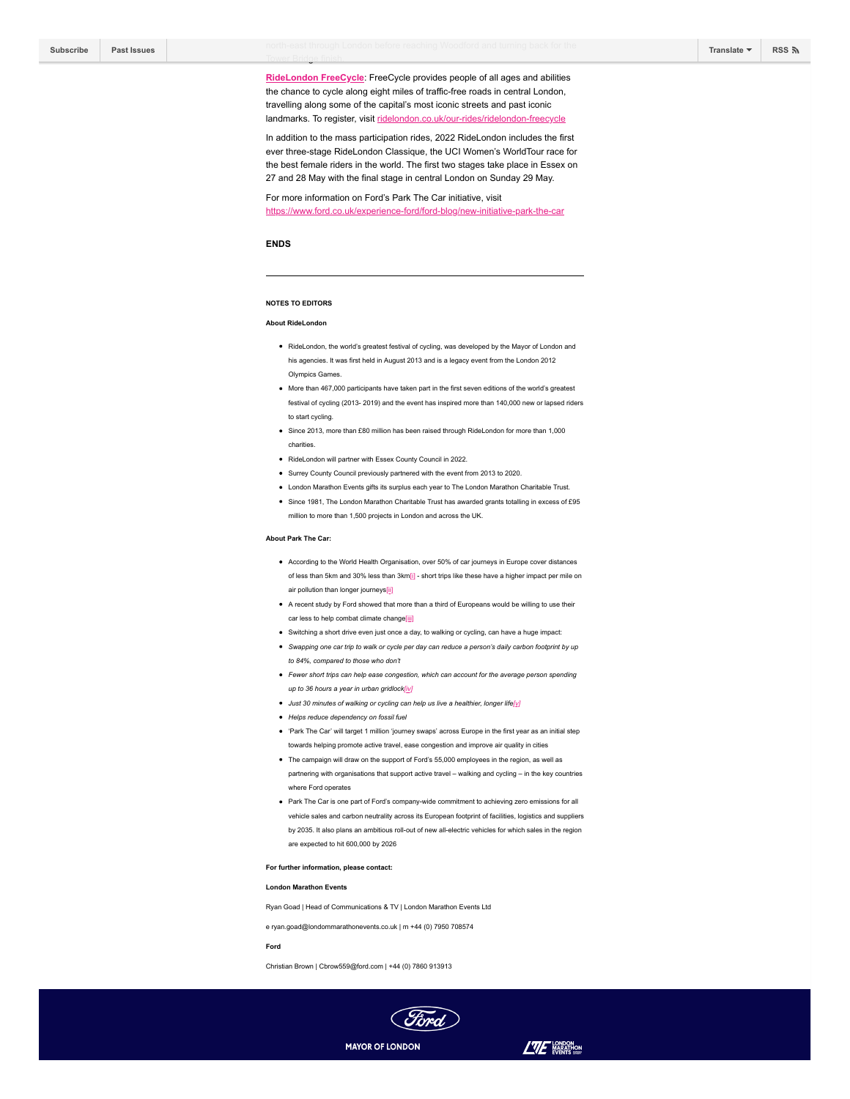**[RideLondon FreeCycle](https://www.ridelondon.co.uk/our-rides/ridelondon-freecycle)**: FreeCycle provides people of all ages and abilities the chance to cycle along eight miles of traffic-free roads in central London, travelling along some of the capital's most iconic streets and past iconic landmarks. To register, visit [ridelondon.co.uk/our-rides/ridelondon-freecycle](https://www.ridelondon.co.uk/our-rides/ridelondon-freecycle)

In addition to the mass participation rides, 2022 RideLondon includes the first ever three-stage RideLondon Classique, the UCI Women's WorldTour race for the best female riders in the world. The first two stages take place in Essex on 27 and 28 May with the final stage in central London on Sunday 29 May.

For more information on Ford's Park The Car initiative, visit <https://www.ford.co.uk/experience-ford/ford-blog/new-initiative-park-the-car>

# **ENDS**

## **NOTES TO EDITORS**

Tower Bridge finish.

#### **About RideLon**

- RideLondon, the world's greatest festival of cycling, was developed by the Mayor of London and his agencies. It was first held in August 2013 and is a legacy event from the London 2012 Olympics Games.
- More than 467,000 participants have taken part in the first seven editions of the world's greatest festival of cycling (2013- 2019) and the event has inspired more than 140,000 new or lapsed riders to start cycling.
- Since 2013, more than £80 million has been raised through RideLondon for more than 1,000 charities.
- RideLondon will partner with Essex County Council in 2022.
- Surrey County Council previously partnered with the event from 2013 to 2020.
- London Marathon Events gifts its surplus each year to The London Marathon Charitable Trust.
- Since 1981, The London Marathon Charitable Trust has awarded grants totalling in excess of £95 million to more than 1,500 projects in London and across the UK.

# **About Park The Car:**

- According to the World Health Organisation, over 50% of car journeys in Europe cover distances of less than 5km and 30% less than 3km[i] - short trips like these have a higher impact per mile on air pollution than longer journeys[ii]
- A recent study by Ford showed that more than a third of Europeans would be willing to use their car less to help combat climate change[iii]
- Switching a short drive even just once a day, to walking or cycling, can have a huge impact:
- *Swapping one car trip to walk or cycle per day can reduce a person's daily carbon footprint by up to 84%, compared to those who don't*
- *Fewer short trips can help ease congestion, which can account for the average person spending up to 36 hours a year in urban gridlock[iv]*
- *Just 30 minutes of walking or cycling can help us live a healthier, longer life[v]*
- *Helps reduce dependency on fossil fuel*
- 'Park The Car' will target 1 million 'journey swaps' across Europe in the first year as an initial step towards helping promote active travel, ease congestion and improve air quality in cities
- The campaign will draw on the support of Ford's 55,000 employees in the region, as well as
- partnering with organisations that support active travel walking and cycling in the key countries where Ford operates
- Park The Car is one part of Ford's company-wide commitment to achieving zero emissions for all vehicle sales and carbon neutrality across its European footprint of facilities, logistics and suppliers by 2035. It also plans an ambitious roll-out of new all-electric vehicles for which sales in the region are expected to hit 600,000 by 2026
- **For further information, please contact:**

## **London Marathon Events**

Ryan Goad | Head of Communications & TV | London Marathon Events Ltd

e ryan.goad@londommarathonevents.co.uk | m +44 (0) 7950 708574

# **Ford**

Christian Brown | Cbrow559@ford.com | +44 (0) 7860 913913



 $L\overline{u}F$  weapon